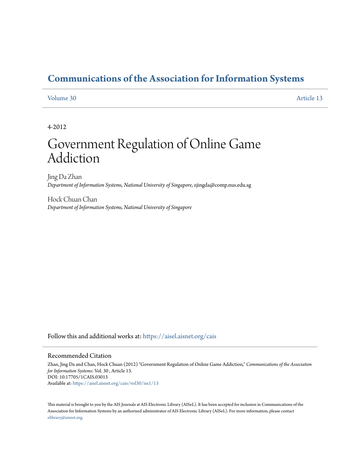### **[Communications of the Association for Information Systems](https://aisel.aisnet.org/cais?utm_source=aisel.aisnet.org%2Fcais%2Fvol30%2Fiss1%2F13&utm_medium=PDF&utm_campaign=PDFCoverPages)**

#### [Volume 30](https://aisel.aisnet.org/cais/vol30?utm_source=aisel.aisnet.org%2Fcais%2Fvol30%2Fiss1%2F13&utm_medium=PDF&utm_campaign=PDFCoverPages) [Article 13](https://aisel.aisnet.org/cais/vol30/iss1/13?utm_source=aisel.aisnet.org%2Fcais%2Fvol30%2Fiss1%2F13&utm_medium=PDF&utm_campaign=PDFCoverPages)

#### 4-2012

## Government Regulation of Online Game Addiction

Jing Da Zhan *Department of Information Systems, National University of Singapore*, zjingda@comp.nus.edu.sg

Hock Chuan Chan *Department of Information Systems, National University of Singapore*

Follow this and additional works at: [https://aisel.aisnet.org/cais](https://aisel.aisnet.org/cais?utm_source=aisel.aisnet.org%2Fcais%2Fvol30%2Fiss1%2F13&utm_medium=PDF&utm_campaign=PDFCoverPages)

#### Recommended Citation

Zhan, Jing Da and Chan, Hock Chuan (2012) "Government Regulation of Online Game Addiction," *Communications of the Association for Information Systems*: Vol. 30 , Article 13. DOI: 10.17705/1CAIS.03013 Available at: [https://aisel.aisnet.org/cais/vol30/iss1/13](https://aisel.aisnet.org/cais/vol30/iss1/13?utm_source=aisel.aisnet.org%2Fcais%2Fvol30%2Fiss1%2F13&utm_medium=PDF&utm_campaign=PDFCoverPages)

This material is brought to you by the AIS Journals at AIS Electronic Library (AISeL). It has been accepted for inclusion in Communications of the Association for Information Systems by an authorized administrator of AIS Electronic Library (AISeL). For more information, please contact [elibrary@aisnet.org.](mailto:elibrary@aisnet.org%3E)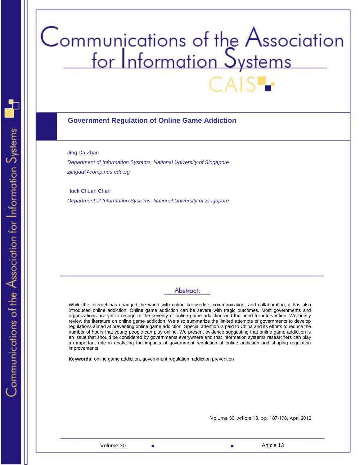# Communications of the Association<br>for Information Systems

#### **Government Regulation of Online Game Addiction**

Jing Da Zhan

*Department of Information Systems, National University of Singapore zjingda@comp.nus.edu.sg*

Hock Chuan Chan *Department of Information Systems, National University of Singapore*

#### Abstract:

While the Internet has changed the world with online knowledge, communication, and collaboration, it has also introduced online addiction. Online game addiction can be severe with tragic outcomes. Most governments and organizations are yet to recognize the severity of online game addiction and the need for intervention. We briefly review the literature on online game addiction. We also summarize the limited attempts of governments to develop regulations aimed at preventing online game addiction. Special attention is paid to China and its efforts to reduce the number of hours that young people can play online. We present evidence suggesting that online game addiction is an issue that should be considered by governments everywhere and that information systems researchers can play an important role in analyzing the impacts of government regulation of online addiction and shaping regulation improvements.

**Keywords:** online game addiction, government regulation, addiction prevention

Volume 30, Article 13, pp. 187-198, April 2012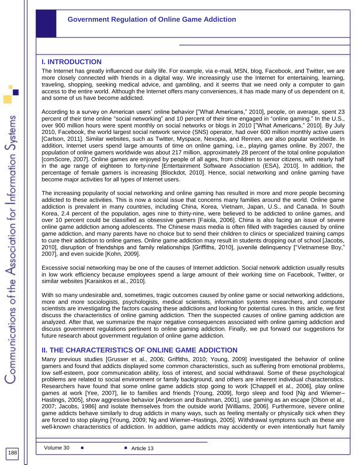#### **Government Regulation of Online Game Addiction**

#### **I. INTRODUCTION**

The Internet has greatly influenced our daily life. For example, via e-mail, MSN, blog, Facebook, and Twitter, we are more closely connected with friends in a digital way. We increasingly use the Internet for entertaining, learning, traveling, shopping, seeking medical advice, and gambling, and it seems that we need only a computer to gain access to the entire world. Although the Internet offers many conveniences, it has made many of us dependent on it, and some of us have become addicted.

According to a survey on American users' online behavior ["What Americans," 2010], people, on average, spent 23 percent of their time online "social networking" and 10 percent of their time engaged in "online gaming." In the U.S., over 900 million hours were spent monthly on social networks or blogs in 2010 ["What Americans," 2010]. By July 2010, Facebook, the world largest social network service (SNS) operator, had over 600 million monthly active users [Carlson, 2011]. Similar websites, such as Twitter, Myspace, Nexopia, and Renren, are also popular worldwide. In addition, Internet users spend large amounts of time on online gaming, i.e., playing games online. By 2007, the population of online gamers worldwide was about 217 million, approximately 28 percent of the total online population [comScore, 2007]. Online games are enjoyed by people of all ages, from children to senior citizens, with nearly half in the age range of eighteen to forty-nine [Entertainment Software Association (ESA), 2010]. In addition, the percentage of female gamers is increasing [Blockdot, 2010]. Hence, social networking and online gaming have become major activities for all types of Internet users.

The increasing popularity of social networking and online gaming has resulted in more and more people becoming addicted to these activities. This is now a social issue that concerns many families around the world. Online game addiction is prevalent in many countries, including China, Korea, Vietnam, Japan, U.S., and Canada. In South Korea, 2.4 percent of the population, ages nine to thirty-nine, were believed to be addicted to online games, and over 10 percent could be classified as obsessive gamers [Faiola, 2006]. China is also facing an issue of severe online game addiction among adolescents. The Chinese mass media is often filled with tragedies caused by online game addiction, and many parents have no choice but to send their children to clinics or specialized training camps to cure their addiction to online games. Online game addiction may result in students dropping out of school [Jacobs, 2010], disruption of friendships and family relationships [Griffiths, 2010], juvenile delinquency ["Vietnamese Boy," 2007], and even suicide [Kohn, 2009].

Excessive social networking may be one of the causes of Internet addiction. Social network addiction usually results in low work efficiency because employees spend a large amount of their working time on Facebook, Twitter, or similar websites [Karaiskos et al., 2010].

With so many undesirable and, sometimes, tragic outcomes caused by online game or social networking addictions, more and more sociologists, psychologists, medical scientists, information systems researchers, and computer scientists are investigating the factors causing these addictions and looking for potential cures. In this article, we first discuss the characteristics of online gaming addiction. Then the suspected causes of online gaming addiction are analyzed. After that, we summarize the major negative consequences associated with online gaming addiction and discuss government regulations pertinent to online gaming addiction. Finally, we put forward our suggestions for future research about government regulation of online game addiction.

#### **II. THE CHARACTERISTICS OF ONLINE GAME ADDICTION**

games at work [Yee, 2007], lie to families and friends [Young, 2009], forgo sleep and food [Ng and Wiemer– Many previous studies [Grusser et al., 2006; Griffiths, 2010; Young, 2009] investigated the behavior of online gamers and found that addicts displayed some common characteristics, such as suffering from emotional problems, low self-esteem, poor communication ability, loss of interest, and social withdrawal. Some of these psychological problems are related to social environment or family background, and others are inherent individual characteristics. Researchers have found that some online game addicts stop going to work [Chappell et al., 2006], play online Hastings, 2005], show aggressive behavior [Anderson and Bushman, 2001], use gaming as an escape [Olson et al., 2007; Jacobs, 1986] and isolate themselves from the outside world [Williams, 2006]. Furthermore, severe online game addicts behave similarly to drug addicts in many ways, such as feeling mentally or physically sick when they are forced to stop playing [Young, 2009; Ng and Wiemer–Hastings, 2005]. Withdrawal symptoms such as these are well-known characteristics of addiction. In addition, game addicts may accidently or even intentionally hurt family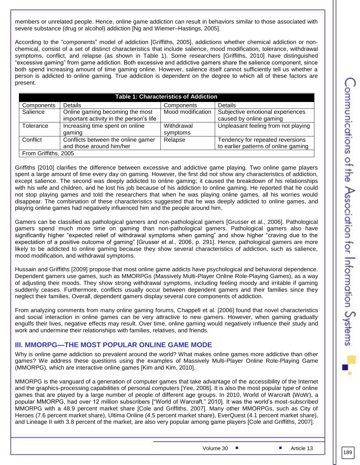members or unrelated people. Hence, online game addiction can result in behaviors similar to those associated with severe substance (drug or alcohol) addiction [Ng and Wiemer–Hastings, 2005].

According to the "components" model of addiction [Griffiths, 2005], addictions whether chemical addiction or nonchemical, consist of a set of distinct characteristics that include salience, mood modification, tolerance, withdrawal symptoms, conflict, and relapse (as shown in Table 1). Some researchers [Griffiths, 2010] have distinguished "excessive gaming" from game addiction. Both excessive and addictive gamers share the salience component, since both spend increasing amount of time gaming online. However, salience itself cannot sufficiently tell us whether a person is addicted to online gaming. True addiction is dependent on the degree to which all of these factors are present.

| <b>Table 1: Characteristics of Addiction</b> |                                                                            |                        |                                                                          |  |  |  |  |  |  |
|----------------------------------------------|----------------------------------------------------------------------------|------------------------|--------------------------------------------------------------------------|--|--|--|--|--|--|
| Components                                   | Details                                                                    | Components             | <b>Details</b>                                                           |  |  |  |  |  |  |
| Salience                                     | Online gaming becoming the most<br>important activity in the person's life | Mood modification      | Subjective emotional experiences<br>caused by online gaming              |  |  |  |  |  |  |
| Tolerance                                    | Increasing time spent on online<br>gaming                                  | Withdrawal<br>symptoms | Unpleasant feeling from not playing                                      |  |  |  |  |  |  |
| Conflict                                     | Conflicts between the online gamer<br>and those around him/her             | Relapse                | Tendency for repeated reversions<br>to earlier patterns of online gaming |  |  |  |  |  |  |
| From Griffiths, 2005                         |                                                                            |                        |                                                                          |  |  |  |  |  |  |

Griffiths [2010] clarifies the difference between excessive and addictive game playing. Two online game players spent a large amount of time every day on gaming. However, the first did not show any characteristics of addiction, except salience. The second was deeply addicted to online gaming; it caused the breakdown of his relationships with his wife and children, and he lost his job because of his addiction to online gaming. He reported that he could not stop playing games and told the researchers that when he was playing online games, all his worries would disappear. The combination of these characteristics suggested that he was deeply addicted to online games, and playing online games had negatively influenced him and the people around him.

Gamers can be classified as pathological gamers and non-pathological gamers [Grusser et al., 2006]. Pathological gamers spend much more time on gaming than non-pathological gamers. Pathological gamers also have significantly higher "expected relief of withdrawal symptoms when gaming" and show higher "craving due to the expectation of a positive outcome of gaming" [Grusser et al., 2006, p. 291]. Hence, pathological gamers are more likely to be addicted to online gaming because they show several characteristics of addiction, such as salience, mood modification, and withdrawal symptoms.

Hussain and Griffiths [2009] propose that most online game addicts have psychological and behavioral dependence. Dependent gamers use games, such as MMORPGs (Massively Multi-Player Online Role-Playing Games), as a way of adjusting their moods. They show strong withdrawal symptoms, including feeling moody and irritable if gaming suddenly ceases. Furthermore, conflicts usually occur between dependent gamers and their families since they neglect their families. Overall, dependent gamers display several core components of addiction.

From analyzing comments from many online gaming forums, Chappell et al. [2006] found that novel characteristics and social interaction in online games can be very attractive to new gamers. However, when gaming gradually engulfs their lives, negative effects may result. Over time, online gaming would negatively influence their study and work and undermine their relationships with families, relatives, and friends.

#### **III. MMORPG—THE MOST POPULAR ONLINE GAME MODE**

Why is online game addiction so prevalent around the world? What makes online games more addictive than other games? We address these questions using the examples of Massively Multi-Player Online Role-Playing Game (MMORPG), which are interactive online games [Kim and Kim, 2010].

MMORPG is the vanguard of a generation of computer games that take advantage of the accessibility of the Internet and the graphics-processing capabilities of personal computers [Yee, 2006]. It is also the most popular type of online games that are played by a large number of people of different age groups. In 2010, World of Warcraft (WoW), a popular MMORPG, had over 12 million subscribers ["World of Warcraft," 2010]. It was the world's most-subscribed MMORPG with a 48.9 percent market share [Cole and Griffiths, 2007]. Many other MMORPGs, such as City of Heroes (7.6 percent market share), Ultima Online (4.5 percent market share), EverQuest (4.1 percent market share), and Lineage II with 3.8 percent of the market, are also very popular among game players [Cole and Griffiths, 2007].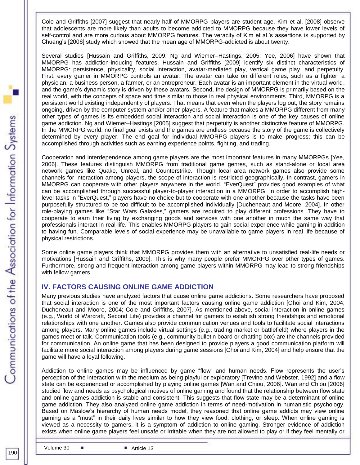Cole and Griffiths [2007] suggest that nearly half of MMORPG players are student-age. Kim et al. [2008] observe that adolescents are more likely than adults to become addicted to MMORPG because they have lower levels of self-control and are more curious about MMORPG features. The veracity of Kim et al.'s assertions is supported by Chuang's [2006] study which showed that the mean age of MMORPG-addicted is about twenty.

Several studies [Hussain and Griffiths, 2009; Ng and Wiemer–Hastings, 2005; Yee, 2006] have shown that MMORPG has addiction-inducing features. Hussain and Griffiths [2009] identify six distinct characteristics of MMORPG: persistence, physicality, social interaction, avatar-mediated play, vertical game play, and perpetuity. First, every gamer in MMORPG controls an avatar. The avatar can take on different roles, such as a fighter, a physician, a business person, a farmer, or an entrepreneur. Each avatar is an important element in the virtual world, and the game's dynamic story is driven by these avatars. Second, the design of MMORPG is primarily based on the real world, with the concepts of space and time similar to those in real physical environments. Third, MMORPG is a persistent world existing independently of players. That means that even when the players log out, the story remains ongoing, driven by the computer system and/or other players. A feature that makes a MMORPG different from many other types of games is its embedded social interaction and social interaction is one of the key causes of online game addiction. Ng and Wiemer–Hastings [2005] suggest that perpetuity is another distinctive feature of MMORPG. In the MMORPG world, no final goal exists and the games are endless because the story of the game is collectively determined by every player. The end goal for individual MMORPG players is to make progress; this can be accomplished through activities such as earning experience points, fighting, and trading.

Cooperation and interdependence among game players are the most important features in many MMORPGs [Yee, 2006]. These features distinguish MMORPG from traditional game genres, such as stand-alone or local area network games like Quake, Unreal, and Counterstrike. Though local area network games also provide some channels for interaction among players, the scope of interaction is restricted geographically. In contrast, gamers in MMORPG can cooperate with other players anywhere in the world. "EverQuest" provides good examples of what can be accomplished through successful player-to-player interaction in a MMORPG. In order to accomplish highlevel tasks in "EverQuest," players have no choice but to cooperate with one another because the tasks have been purposefully structured to be too difficult to be accomplished individually [Ducheneaut and Moore, 2004]. In other role-playing games like "Star Wars Galaxies," gamers are required to play different professions. They have to cooperate to earn their living by exchanging goods and services with one another in much the same way that professionals interact in real life. This enables MMORPG players to gain social experience while gaming in addition to having fun. Comparable levels of social experience may be unavailable to game players in real life because of physical restrictions.

Some online game players think that MMORPG provides them with an alternative to unsatisfied real-life needs or motivations [Hussain and Griffiths, 2009]. This is why many people prefer MMORPG over other types of games. Furthermore, strong and frequent interaction among game players within MMORPG may lead to strong friendships with fellow gamers.

#### **IV. FACTORS CAUSING ONLINE GAME ADDICTION**

Many previous studies have analyzed factors that cause online game addictions. Some researchers have proposed that social interaction is one of the most important factors causing online game addiction [Choi and Kim, 2004; Ducheneaut and Moore, 2004; Cole and Griffiths, 2007]. As mentioned above, social interaction in online games (e.g., World of Warcraft, Second Life) provides a channel for gamers to establish strong friendships and emotional relationships with one another. Games also provide communication venues and tools to facilitate social interactions among players. Many online games include virtual settings (e.g., trading market or battlefield) where players in the games meet or talk. Communication tools (e.g., community bulletin board or chatting box) are the channels provided for communication. An online game that has been designed to provide players a good communication platform will facilitate more social interaction among players during game sessions [Choi and Kim, 2004] and help ensure that the game will have a loyal following.

Addiction to online games may be influenced by game "flow" and human needs. Flow represents the user's perception of the interaction with the medium as being playful or exploratory [Trevino and Webster, 1992] and a flow state can be experienced or accomplished by playing online games [Wan and Chiou, 2006]. Wan and Chiou [2006] studied flow and needs as psychological motives of online gaming and found that the relationship between flow state and online games addiction is stable and consistent. This suggests that flow state may be a determinant of online game addiction. They also analyzed online game addiction in terms of need-motivation in humanistic psychology. Based on Maslow's hierarchy of human needs model, they reasoned that online game addicts may view online gaming as a "must" in their daily lives similar to how they view food, clothing, or sleep. When online gaming is viewed as a necessity to gamers, it is a symptom of addiction to online gaming. Stronger evidence of addiction exists when online game players feel unsafe or irritable when they are not allowed to play or if they feel mentally or

a.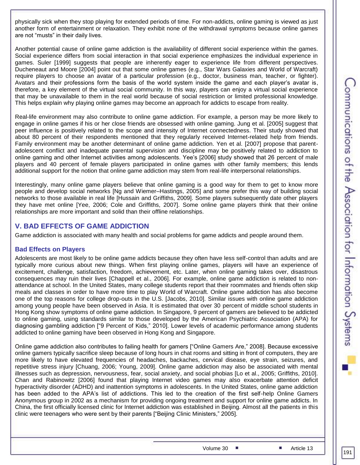physically sick when they stop playing for extended periods of time. For non-addicts, online gaming is viewed as just another form of entertainment or relaxation. They exhibit none of the withdrawal symptoms because online games are not "musts" in their daily lives.

Another potential cause of online game addiction is the availability of different social experience within the games. Social experience differs from social interaction in that social experience emphasizes the individual experience in games. Suler [1999] suggests that people are inherently eager to experience life from different perspectives. Ducheneaut and Moore [2004] point out that some online games (e.g., Star Wars Galaxies and World of Warcraft) require players to choose an avatar of a particular profession (e.g., doctor, business man, teacher, or fighter). Avatars and their professions form the basis of the world system inside the game and each player's avatar is, therefore, a key element of the virtual social community. In this way, players can enjoy a virtual social experience that may be unavailable to them in the real world because of social restriction or limited professional knowledge. This helps explain why playing online games may become an approach for addicts to escape from reality.

Real-life environment may also contribute to online game addiction. For example, a person may be more likely to engage in online games if his or her close friends are obsessed with online gaming. Jung et al. [2005] suggest that peer influence is positively related to the scope and intensity of Internet connectedness. Their study showed that about 80 percent of their respondents mentioned that they regularly received Internet-related help from friends. Family environment may be another determinant of online game addiction. Yen et al. [2007] propose that parentadolescent conflict and inadequate parental supervision and discipline may be positively related to addiction to online gaming and other Internet activities among adolescents. Yee's [2006] study showed that 26 percent of male players and 40 percent of female players participated in online games with other family members; this lends additional support for the notion that online game addiction may stem from real-life interpersonal relationships.

Interestingly, many online game players believe that online gaming is a good way for them to get to know more people and develop social networks [Ng and Wiemer–Hastings, 2005] and some prefer this way of building social networks to those available in real life [Hussain and Griffiths, 2009]. Some players subsequently date other players they have met online [Yee, 2006; Cole and Griffiths, 2007]. Some online game players think that their online relationships are more important and solid than their offline relationships.

#### **V. BAD EFFECTS OF GAME ADDICTION**

Game addiction is associated with many health and social problems for game addicts and people around them.

#### **Bad Effects on Players**

Adolescents are most likely to be online game addicts because they often have less self-control than adults and are typically more curious about new things. When first playing online games, players will have an experience of excitement, challenge, satisfaction, freedom, achievement, etc. Later, when online gaming takes over, disastrous consequences may ruin their lives [Chappell et al., 2006]. For example, online game addiction is related to nonattendance at school. In the United States, many college students report that their roommates and friends often skip meals and classes in order to have more time to play World of Warcraft. Online game addiction has also become one of the top reasons for college drop-outs in the U.S. [Jacobs, 2010]. Similar issues with online game addiction among young people have been observed in Asia. It is estimated that over 30 percent of middle school students in Hong Kong show symptoms of online game addiction. In Singapore, 9 percent of gamers are believed to be addicted to online gaming, using standards similar to those developed by the American Psychiatric Association (APA) for diagnosing gambling addiction ["9 Percent of Kids," 2010]. Lower levels of academic performance among students addicted to online gaming have been observed in Hong Kong and Singapore.

Online game addiction also contributes to failing health for gamers ["Online Gamers Are," 2008]. Because excessive online gamers typically sacrifice sleep because of long hours in chat rooms and sitting in front of computers, they are more likely to have elevated frequencies of headaches, backaches, cervical disease, eye strain, seizures, and repetitive stress injury [Chuang, 2006; Young, 2009]. Online game addiction may also be associated with mental illnesses such as depression, nervousness, fear, social anxiety, and social phobias [Lo et al., 2005; Griffiths, 2010]. Chan and Rabinowitz [2006] found that playing Internet video games may also exacerbate attention deficit hyperactivity disorder (ADHD) and inattention symptoms in adolescents. In the United States, online game addiction has been added to the APA's list of addictions. This led to the creation of the first self-help Online Gamers Anonymous group in 2002 as a mechanism for providing ongoing treatment and support for online game addicts. In China, the first officially licensed clinic for Internet addiction was established in Beijing. Almost all the patients in this clinic were teenagers who were sent by their parents ["Beijing Clinic Ministers," 2005].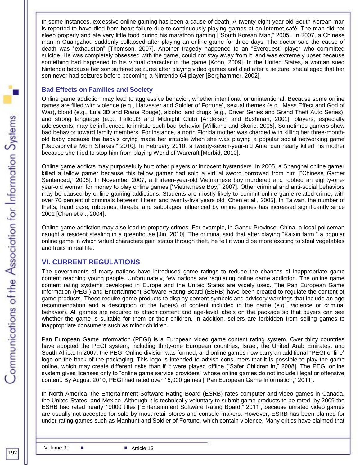In some instances, excessive online gaming has been a cause of death. A twenty-eight-year-old South Korean man is reported to have died from heart failure due to continuously playing games at an Internet café. The man did not sleep properly and ate very little food during his marathon gaming ["South Korean Man," 2005]. In 2007, a Chinese man in Guangzhou suddenly collapsed after playing an online game for three days. The doctor said the cause of death was "exhaustion" [Thomson, 2007]. Another tragedy happened to an "Everquest" player who committed suicide. He was completely obsessed with the game, could not stay away from it, and was extremely upset because something bad happened to his virtual character in the game [Kohn, 2009]. In the United States, a woman sued Nintendo because her son suffered seizures after playing video games and died after a seizure; she alleged that her son never had seizures before becoming a Nintendo-64 player [Berghammer, 2002].

#### **Bad Effects on Families and Society**

Online game addiction may lead to aggressive behavior, whether intentional or unintentional. Because some online games are filled with violence (e.g., Harvester and Soldier of Fortune), sexual themes (e.g., Mass Effect and God of War), blood (e.g., Lula 3D and Riana Rouge), alcohol and drugs (e.g., Driver Series and Grand Theft Auto Series), and strong language (e.g., Fallout3 and Midnight Club) [Anderson and Bushman, 2001], players, especially adolescents, may be influenced to imitate such bad behavior [Williams and Skoric, 2005]. Sometimes gamers show bad behavior toward family members. For instance, a north Florida mother was charged with killing her three-monthold baby because the baby's crying made her irritable when she was playing a popular social networking game ["Jacksonville Mom Shakes," 2010]. In February 2010, a twenty-seven-year-old American nearly killed his mother because she tried to stop him from playing World of Warcraft [Morbid, 2010].

Online game addicts may purposefully hurt other players or innocent bystanders. In 2005, a Shanghai online gamer killed a fellow gamer because this fellow gamer had sold a virtual sword borrowed from him ["Chinese Gamer Sentenced," 2005]. In November 2007, a thirteen-year-old Vietnamese boy murdered and robbed an eighty-oneyear-old woman for money to play online games ["Vietnamese Boy," 2007]. Other criminal and anti-social behaviors may be caused by online gaming addictions. Students are mostly likely to commit online game-related crime, with over 70 percent of criminals between fifteen and twenty-five years old [Chen et al., 2005]. In Taiwan, the number of thefts, fraud case, robberies, threats, and sabotages influenced by online games has increased significantly since 2001 [Chen et al., 2004].

Online game addiction may also lead to property crimes. For example, in Gansu Province, China, a local policeman caught a resident stealing in a greenhouse [Jin, 2010]. The criminal said that after playing "Kaixin farm," a popular online game in which virtual characters gain status through theft, he felt it would be more exciting to steal vegetables and fruits in real life.

#### **VI. CURRENT REGULATIONS**

The governments of many nations have introduced game ratings to reduce the chances of inappropriate game content reaching young people. Unfortunately, few nations are regulating online game addiction. The online game content rating systems developed in Europe and the United States are widely used. The Pan European Game Information (PEGI) and Entertainment Software Rating Board (ESRB) have been created to regulate the content of game products. These require game products to display content symbols and advisory warnings that include an age recommendation and a description of the type(s) of content included in the game (e.g., violence or criminal behavior). All games are required to attach content and age-level labels on the package so that buyers can see whether the game is suitable for them or their children. In addition, sellers are forbidden from selling games to inappropriate consumers such as minor children.

Pan European Game Information (PEGI) is a European video game content rating system. Over thirty countries have adopted the PEGI system, including thirty-one European countries, Israel, the United Arab Emirates, and South Africa. In 2007, the PEGI Online division was formed, and online games now carry an additional "PEGI online" logo on the back of the packaging. This logo is intended to advise consumers that it is possible to play the game online, which may create different risks than if it were played offline ["Safer Children in," 2008]. The PEGI online system gives licenses only to "online game service providers" whose online games do not include illegal or offensive content. By August 2010, PEGI had rated over 15,000 games ["Pan European Game Information," 2011].

In North America, the Entertainment Software Rating Board (ESRB) rates computer and video games in Canada, the United States, and Mexico. Although it is technically voluntary to submit game products to be rated, by 2009 the ESRB had rated nearly 19000 titles ["Entertainment Software Rating Board," 2011], because unrated video games are usually not accepted for sale by most retail stores and console makers. However, ESRB has been blamed for under-rating games such as Manhunt and Soldier of Fortune, which contain violence. Many critics have claimed that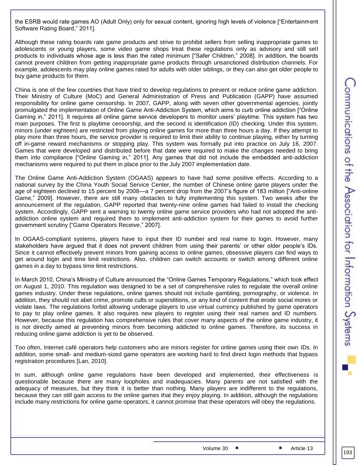the ESRB would rate games AO (Adult Only) only for sexual content, ignoring high levels of violence ["Entertainment Software Rating Board," 2011].

Although these rating boards rate game products and strive to prohibit sellers from selling inappropriate games to adolescents or young players, some video game shops treat these regulations only as advisory and still sell products to individuals whose age is less than the rated minimum ["Safer Children," 2008]. In addition, the boards cannot prevent children from getting inappropriate game products through unsanctioned distribution channels. For example, adolescents may play online games rated for adults with older siblings, or they can also get older people to buy game products for them.

China is one of the few countries that have tried to develop regulations to prevent or reduce online game addiction. Their Ministry of Culture (MoC) and General Administration of Press and Publication (GAPP) have assumed responsibility for online game censorship. In 2007, GAPP, along with seven other governmental agencies, jointly promulgated the implementation of Online Game Anti-Addiction System, which aims to curb online addiction ["Online Gaming in," 2011]. It requires all online game service developers to monitor users' playtime. This system has two main purposes. The first is playtime censorship, and the second is identification (ID) checking. Under this system, minors (under eighteen) are restricted from playing online games for more than three hours a day. If they attempt to play more than three hours, the service provider is required to limit their ability to continue playing, either by turning off in-game reward mechanisms or stopping play. This system was formally put into practice on July 16, 2007. Games that were developed and distributed before that date were required to make the changes needed to bring them into compliance ["Online Gaming in," 2011]. Any games that did not include the embedded anti-addiction mechanisms were required to put them in place prior to the July 2007 implementation date.

The Online Game Anti-Addiction System (OGAAS) appears to have had some positive effects. According to a national survey by the China Youth Social Service Center, the number of Chinese online game players under the age of eighteen declined to 15 percent by 2008—a 7 percent drop from the 2007's figure of 183 million ["Anti-online Game," 2009]. However, there are still many obstacles to fully implementing this system. Two weeks after the announcement of the regulation, GAPP reported that twenty-nine online games had failed to install the checking system. Accordingly, GAPP sent a warning to twenty online game service providers who had not adopted the antiaddiction online system and required them to implement anti-addiction system for their games to avoid further government scrutiny ["Game Operators Receive," 2007].

In OGAAS-compliant systems, players have to input their ID number and real name to login. However, many stakeholders have argued that it does not prevent children from using their parents' or other older people's IDs. Since it cannot effectively prevent minors from gaining access to online games, obsessive players can find ways to get around login and time limit restrictions. Also, children can switch accounts or switch among different online games in a day to bypass time limit restrictions.

In March 2010, China's Ministry of Culture announced the "Online Games Temporary Regulations," which took effect on August 1, 2010. This regulation was designed to be a set of comprehensive rules to regulate the overall online games industry. Under these regulations, online games should not include gambling, pornography, or violence. In addition, they should not abet crime, promote cults or superstitions, or any kind of content that erode social mores or violate laws. The regulations forbid allowing underage players to use virtual currency published by game operators to pay to play online games. It also requires new players to register using their real names and ID numbers. However, because this regulation has comprehensive rules that cover many aspects of the online game industry, it is not directly aimed at preventing minors from becoming addicted to online games. Therefore, its success in reducing online game addiction is yet to be observed.

Too often, Internet café operators help customers who are minors register for online games using their own IDs. In addition, some small- and medium-sized game operators are working hard to find direct login methods that bypass registration procedures [Lan, 2010].

In sum, although online game regulations have been developed and implemented, their effectiveness is questionable because there are many loopholes and inadequacies. Many parents are not satisfied with the adequacy of measures, but they think it is better than nothing. Many players are indifferent to the regulations, because they can still gain access to the online games that they enjoy playing. In addition, although the regulations include many restrictions for online game operators, it cannot promise that these operators will obey the regulations.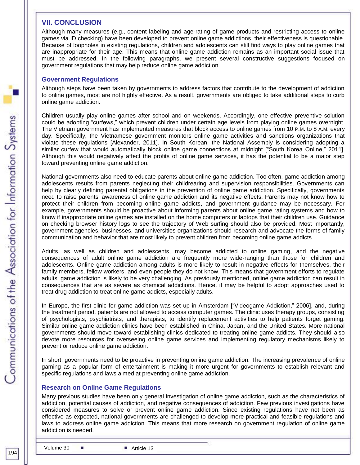#### **VII. CONCLUSION**

Although many measures (e.g., content labeling and age-rating of game products and restricting access to online games via ID checking) have been developed to prevent online game addictions, their effectiveness is questionable. Because of loopholes in existing regulations, children and adolescents can still find ways to play online games that are inappropriate for their age. This means that online game addiction remains as an important social issue that must be addressed. In the following paragraphs, we present several constructive suggestions focused on government regulations that may help reduce online game addiction.

#### **Government Regulations**

Although steps have been taken by governments to address factors that contribute to the development of addiction to online games, most are not highly effective. As a result, governments are obliged to take additional steps to curb online game addiction.

Children usually play online games after school and on weekends. Accordingly, one effective preventive solution could be adopting "curfews," which prevent children under certain age levels from playing online games overnight. The Vietnam government has implemented measures that block access to online games from 10 P.M. to 8 A.M. every day. Specifically, the Vietnamese government monitors online game activities and sanctions organizations that violate these regulations [Alexander, 2011]. In South Korean, the National Assembly is considering adopting a similar curfew that would automatically block online game connections at midnight ["South Korea Online," 2011]. Although this would negatively affect the profits of online game services, it has the potential to be a major step toward preventing online game addiction.

National governments also need to educate parents about online game addiction. Too often, game addiction among adolescents results from parents neglecting their childrearing and supervision responsibilities. Governments can help by clearly defining parental obligations in the prevention of online game addiction. Specifically, governments need to raise parents' awareness of online game addiction and its negative effects. Parents may not know how to protect their children from becoming online game addicts, and government guidance may be necessary. For example, governments should be proactive about informing parents about online game rating systems and how to know if inappropriate online games are installed on the home computers or laptops that their children use. Guidance on checking browser history logs to see the trajectory of Web surfing should also be provided. Most importantly, government agencies, businesses, and universities organizations should research and advocate the forms of family communication and behavior that are most likely to prevent children from becoming online game addicts.

Adults, as well as children and adolescents, may become addicted to online gaming, and the negative consequences of adult online game addiction are frequently more wide-ranging than those for children and adolescents. Online game addiction among adults is more likely to result in negative effects for themselves, their family members, fellow workers, and even people they do not know. This means that government efforts to regulate adults' game addiction is likely to be very challenging. As previously mentioned, online game addiction can result in consequences that are as severe as chemical addictions. Hence, it may be helpful to adopt approaches used to treat drug addiction to treat online game addicts, especially adults.

In Europe, the first clinic for game addiction was set up in Amsterdam ["Videogame Addiction," 2006], and, during the treatment period, patients are not allowed to access computer games. The clinic uses therapy groups, consisting of psychologists, psychiatrists, and therapists, to identify replacement activities to help patients forget gaming. Similar online game addiction clinics have been established in China, Japan, and the United States. More national governments should move toward establishing clinics dedicated to treating online game addicts. They should also devote more resources for overseeing online game services and implementing regulatory mechanisms likely to prevent or reduce online game addiction.

In short, governments need to be proactive in preventing online game addiction. The increasing prevalence of online gaming as a popular form of entertainment is making it more urgent for governments to establish relevant and specific regulations and laws aimed at preventing online game addiction.

#### **Research on Online Game Regulations**

Many previous studies have been only general investigation of online game addiction, such as the characteristics of addiction, potential causes of addiction, and negative consequences of addiction. Few previous investigations have considered measures to solve or prevent online game addiction. Since existing regulations have not been as effective as expected, national governments are challenged to develop more practical and feasible regulations and laws to address online game addiction. This means that more research on government regulation of online game addiction is needed.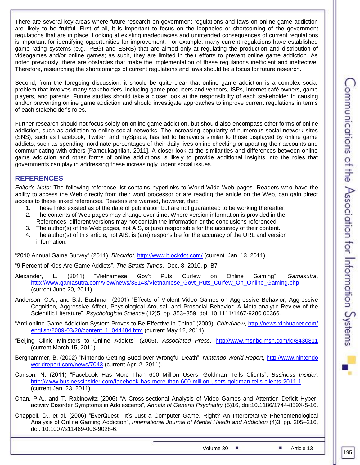There are several key areas where future research on government regulations and laws on online game addiction are likely to be fruitful. First of all, it is important to focus on the loopholes or shortcoming of the government regulations that are in place. Looking at existing inadequacies and unintended consequences of current regulations is important for identifying opportunities for improvement. For example, many current regulations have established game rating systems (e.g., PEGI and ESRB) that are aimed only at regulating the production and distribution of videogames and/or online games; as such, they are limited in their efforts to prevent online game addiction. As noted previously, there are obstacles that make the implementation of these regulations inefficient and ineffective. Therefore, researching the shortcomings of current regulations and laws should be a focus for future research.

Second, from the foregoing discussion, it should be quite clear that online game addiction is a complex social problem that involves many stakeholders, including game producers and vendors, ISPs, Internet café owners, game players, and parents. Future studies should take a closer look at the responsibility of each stakeholder in causing and/or preventing online game addiction and should investigate approaches to improve current regulations in terms of each stakeholder's roles.

Further research should not focus solely on online game addiction, but should also encompass other forms of online addiction, such as addiction to online social networks. The increasing popularity of numerous social network sites (SNS), such as Facebook, Twitter, and mySpace, has led to behaviors similar to those displayed by online game addicts, such as spending inordinate percentages of their daily lives online checking or updating their accounts and communicating with others [Pamoukaghlian, 2011]. A closer look at the similarities and differences between online game addiction and other forms of online addictions is likely to provide additional insights into the roles that governments can play in addressing these increasingly urgent social issues.

#### **REFERENCES**

*Editor's Note*: The following reference list contains hyperlinks to World Wide Web pages. Readers who have the ability to access the Web directly from their word processor or are reading the article on the Web, can gain direct access to these linked references. Readers are warned, however, that:

- 1. These links existed as of the date of publication but are not guaranteed to be working thereafter.
- 2. The contents of Web pages may change over time. Where version information is provided in the References, different versions may not contain the information or the conclusions referenced.
- 3. The author(s) of the Web pages, not AIS, is (are) responsible for the accuracy of their content.
- 4. The author(s) of this article, not AIS, is (are) responsible for the accuracy of the URL and version information.

"2010 Annual Game Survey" (2011), *Blockdot*, <http://www.blockdot.com/> (current Jan. 13, 2011).

"9 Percent of Kids Are Game Addicts", *The Straits Times*, Dec. 8, 2010, p. B7

- Alexander, L. (2011) "Vietnamese Gov't Puts Curfew on Online Gaming", *Gamasutra*, [http://www.gamasutra.com/view/news/33143/Vietnamese\\_Govt\\_Puts\\_Curfew\\_On\\_Online\\_Gaming.php](http://www.gamasutra.com/view/news/33143/Vietnamese_Govt_Puts_Curfew_On_Online_Gaming.php) (current June 20, 2011).
- Anderson, C.A., and B.J. Bushman (2001) "Effects of Violent Video Games on Aggressive Behavior, Aggressive Cognition, Aggressive Affect, Physiological Arousal, and Prosocial Behavior: A Meta-analytic Review of the Scientific Literature", *Psychological Science* (12)5, pp. 353–359, doi: 10.1111/1467-9280.00366.
- "Anti-online Game Addiction System Proves to Be Effective in China" (2009), *ChinaView*, [http://news.xinhuanet.com/](http://news.xinhuanet.com/%0benglish/2009-03/20/content_11044484.htm) [english/2009-03/20/content\\_11044484.htm](http://news.xinhuanet.com/%0benglish/2009-03/20/content_11044484.htm) (current May 12, 2011).
- "Beijing Clinic Ministers to Online Addicts" (2005), *Associated Press*, <http://www.msnbc.msn.com/id/8430811> (current March 15, 2011).
- Berghammer, B. (2002) "Nintendo Getting Sued over Wrongful Death", *Nintendo World Report*, [http://www.nintendo](http://www.nintendoworldreport.com/news/7043) [worldreport.com/news/7043](http://www.nintendoworldreport.com/news/7043) (current Apr. 2, 2011).
- Carlson, N. (2011) "Facebook Has More Than 600 Million Users, Goldman Tells Clients", *Business Insider*, <http://www.businessinsider.com/facebook-has-more-than-600-million-users-goldman-tells-clients-2011-1> (current Jan. 23, 2011).
- Chan, P.A., and T. Rabinowitz (2006) "A Cross-sectional Analysis of Video Games and Attention Deficit Hyperactivity Disorder Symptoms in Adolescents", *Annals of General Psychiatry* (5)16, doi:10.1186/1744-859X-5-16.
- Chappell, D., et al. (2006) "EverQuest—It's Just a Computer Game, Right? An Interpretative Phenomenological Analysis of Online Gaming Addiction", *International Journal of Mental Health and Addiction* (4)3, pp. 205–216, doi: 10.1007/s11469-006-9028-6.

Volume 30  $\blacksquare$  Article 13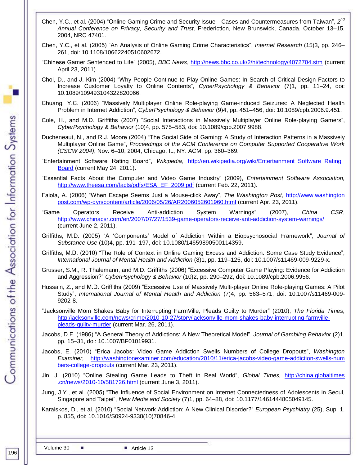- Chen, Y.C., et al. (2004) "Online Gaming Crime and Security Issue—Cases and Countermeasures from Taiwan", 2<sup>nd</sup> *Annual Conference on Privacy, Security and Trust,* Frederiction, New Brunswick, Canada, October 13–15, 2004, NRC 47401.
- Chen, Y.C., et al. (2005) "An Analysis of Online Gaming Crime Characteristics", *Internet Research* (15)3, pp. 246– 261, doi: 10.1108/10662240510602672.
- "Chinese Gamer Sentenced to Life" (2005), *BBC News*, <http://news.bbc.co.uk/2/hi/technology/4072704.stm> (current April 23, 2011).
- Choi, D., and J. Kim (2004) "Why People Continue to Play Online Games: In Search of Critical Design Factors to Increase Customer Loyalty to Online Contents", *CyberPsychology & Behavior* (7)1, pp. 11–24, doi: 10.1089/109493104322820066.
- Chuang, Y.C. (2006) "Massively Multiplayer Online Role-playing Game-induced Seizures: A Neglected Health Problem in Internet Addiction", *CyberPsychology & Behavior* (9)4, pp. 451–456, doi: 10.1089/cpb.2006.9.451.
- Cole, H., and M.D. Griffiths (2007) "Social Interactions in Massively Multiplayer Online Role-playing Gamers", *CyberPsychology & Behavior* (10)4, pp. 575–583, doi: 10.1089/cpb.2007.9988.
- Ducheneaut, N., and R.J. Moore (2004) "The Social Side of Gaming: A Study of Interaction Patterns in a Massively Multiplayer Online Game", *Proceedings of the ACM Conference on Computer Supported Cooperative Work (CSCW 2004)*, Nov. 6–10; 2004, Chicago, IL, NY: ACM, pp. 360–369.
- "Entertainment Software Rating Board", *Wikipedia*, [http://en.wikipedia.org/wiki/Entertainment\\_Software\\_Rating\\_](http://en.wikipedia.org/wiki/Entertainment_Software_Rating_%0bBoard) [Board](http://en.wikipedia.org/wiki/Entertainment_Software_Rating_%0bBoard) (current May 24, 2011).
- "Essential Facts About the Computer and Video Game Industry" (2009), *Entertainment Software Association,* [http://www.theesa.com/facts/pdfs/ESA\\_EF\\_2009.pdf](http://www.theesa.com/facts/pdfs/ESA_EF_2009.pdf) (current Feb. 22, 2011).
- Faiola, A. (2006) "When Escape Seems Just a Mouse-click Away", *The Washington Post*, [http://www.washington](http://www.washingtonpost.com/wp-dyn/content/article/2006/05/26/AR2006052601960.html) [post.com/wp-dyn/content/article/2006/05/26/AR2006052601960.html](http://www.washingtonpost.com/wp-dyn/content/article/2006/05/26/AR2006052601960.html) (current Apr. 23, 2011).
- "Game Operators Receive Anti-addiction System Warnings" (2007), *China CSR*, <http://www.chinacsr.com/en/2007/07/27/1539-game-operators-receive-anti-addiction-system-warnings/> (current June 2, 2011).
- Griffiths, M.D. (2005) "A 'Components' Model of Addiction Within a Biopsychosocial Framework", *Journal of Substance Use* (10)4, pp. 191–197, doi: 10.1080/14659890500114359.
- Griffiths, M.D. (2010) "The Role of Context in Online Gaming Excess and Addiction: Some Case Study Evidence", *International Journal of Mental Health and Addiction* (8)1, pp. 119–125, doi: 10.1007/s11469-009-9229-x.
- Grusser, S.M., R. Thalemann, and M.D. Griffiths (2006) "Excessive Computer Game Playing: Evidence for Addiction and Aggression?" *CyberPsychology & Behavior* (10)2, pp. 290–292, doi: 10.1089/cpb.2006.9956.
- Hussain, Z., and M.D. Griffiths (2009) "Excessive Use of Massively Multi-player Online Role-playing Games: A Pilot Study", *International Journal of Mental Health and Addiction* (7)4, pp. 563–571, doi: 10.1007/s11469-009- 9202-8.
- "Jacksonville Mom Shakes Baby for Interrupting FarmVille, Pleads Guilty to Murder" (2010), *The Florida Times,* [http:/jacksonville.com/news/crime/2010-10-27/story/jacksonville-mom-shakes-baby-interrupting-farmville](http://jacksonville.com/news/crime/2010-10-27/story/jacksonville-mom-shakes-baby-interrupting-farmville-pleads-guilty-murder)[pleads-guilty-murder](http://jacksonville.com/news/crime/2010-10-27/story/jacksonville-mom-shakes-baby-interrupting-farmville-pleads-guilty-murder) (current Mar. 26, 2011).
- Jacobs, D.F. (1986) "A General Theory of Addictions: A New Theoretical Model", *Journal of Gambling Behavior* (2)1, pp. 15–31, doi: 10.1007/BF01019931.
- Jacobs, E. (2010) "Erica Jacobs: Video Game Addiction Swells Numbers of College Dropouts", *Washington Examiner,* [http://washingtonexaminer.com/education/2010/11/erica-jacobs-video-game-addiction-swells-num](http://washingtonexaminer.com/education/2010/11/erica-jacobs-video-game-addiction-swells-numbers-college-dropouts) [bers-college-dropouts](http://washingtonexaminer.com/education/2010/11/erica-jacobs-video-game-addiction-swells-numbers-college-dropouts) (current Mar. 23, 2011).
- Jin, J. (2010) "Online Stealing Game Leads to Theft in Real World", *Global Times,* [http://china.globaltimes](http://china.globaltimes.cn/news/2010-10/581726.html) [.cn/news/2010-10/581726.html](http://china.globaltimes.cn/news/2010-10/581726.html) (current June 3, 2011).
- Jung, J.Y., et al. (2005) "The Influence of Social Environment on Internet Connectedness of Adolescents in Seoul, Singapore and Taipei", *New Media and Society* (7)1, pp. 64–88, doi: 10.1177/1461444805049145.
- Karaiskos, D., et al. (2010) "Social Network Addiction: A New Clinical Disorder?" *European Psychiatry* (25), Sup. 1, p. 855, doi: 10.1016/S0924-9338(10)70846-4.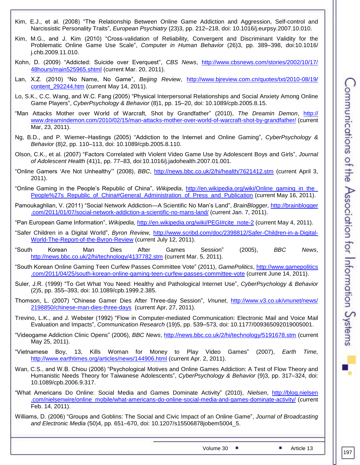- Kim, E.J., et al. (2008) "The Relationship Between Online Game Addiction and Aggression, Self-control and Narcissistic Personality Traits", *European Psychiatry* (23)3, pp. 212–218, doi: 10.1016/j.eurpsy.2007.10.010.
- Kim, M.G., and J. Kim (2010) "Cross-validation of Reliability, Convergent and Discriminant Validity for the Problematic Online Game Use Scale", *Computer in Human Behavior* (26)3, pp. 389–398, doi:10.1016/ j.chb.2009.11.010.
- Kohn, D. (2009) "Addicted: Suicide over Everquest", *CBS News*, [http://www.cbsnews.com/stories/2002/10/17/](http://www.cbsnews.com/stories/2002/10/17/48hours/main525965.shtml) [48hours/main525965.shtml](http://www.cbsnews.com/stories/2002/10/17/48hours/main525965.shtml) (current Mar. 20, 2011).
- Lan, X.Z. (2010) "No Name, No Game", *Beijing Review*, [http://www.bjreview.com.cn/quotes/txt/2010-08/19/](http://www.bjreview.com.cn/quotes/txt/2010-08/19/content_292244.htm) [content\\_292244.htm](http://www.bjreview.com.cn/quotes/txt/2010-08/19/content_292244.htm) (current May 14, 2011).
- Lo, S.K., C.C. Wang, and W.C. Fang (2005) "Physical Interpersonal Relationships and Social Anxiety Among Online Game Players", *CyberPsychology & Behavior* (8)1, pp. 15–20, doi: 10.1089/cpb.2005.8.15.
- "Man Attacks Mother over World of Warcraft, Shot by Grandfather" (2010), *The Dreamin Demon*, [http://](http://www.dreamindemon.com/2010/02/15/man-attacks-mother-over-world-of-warcraft-shot-by-grandfather/) [www.dreamindemon.com/2010/02/15/man-attacks-mother-over-world-of-warcraft-shot-by-grandfather/](http://www.dreamindemon.com/2010/02/15/man-attacks-mother-over-world-of-warcraft-shot-by-grandfather/) (current Mar, 23, 2011).
- Ng, B.D., and P. Wiemer–Hastings (2005) "Addiction to the Internet and Online Gaming", *CyberPsychology & Behavior* (8)2, pp. 110–113, doi: 10.1089/cpb.2005.8.110.
- Olson, C.K., et al. (2007) "Factors Correlated with Violent Video Game Use by Adolescent Boys and Girls", *Journal of Adolescent Health* (41)1, pp. 77–83, doi:10.1016/j.jadohealth.2007.01.001.
- "Online Gamers 'Are Not Unhealthy'" (2008), *BBC*, <http://news.bbc.co.uk/2/hi/health/7621412.stm> (current April 3, 2011).
- "Online Gaming in the People's Republic of China", *Wikipedia*, [http://en.wikipedia.org/wiki/Online\\_gaming\\_in\\_the\\_](http://en.wikipedia.org/wiki/Online_gaming_in_the_People%27s_Republic_of_China#General_Administration_of_Press_and_Publication) [People%27s\\_Republic\\_of\\_China#General\\_Administration\\_of\\_Press\\_and\\_Publication](http://en.wikipedia.org/wiki/Online_gaming_in_the_People%27s_Republic_of_China#General_Administration_of_Press_and_Publication) (current May 16, 2011).
- Pamoukaghlian, V. (2011) "Social Network Addiction—A Scientific No Man's Land", *BrainBlogger,* [http://brainblogger](http://brainblogger.com/2011/01/07/social-network-addiction-a-scientific-no-mans-land/) [.com/2011/01/07/social-network-addiction-a-scientific-no-mans-land/](http://brainblogger.com/2011/01/07/social-network-addiction-a-scientific-no-mans-land/) (current Jan. 7, 2011).
- "Pan European Game Information", *Wikipedia,* [http://en.wikipedia.org/wiki/PEGI#cite\\_note-2](http://en.wikipedia.org/wiki/PEGI#cite_note-2) (current May 4, 2011).
- "Safer Children in a Digital World", *Byron Review,* [http://www.scribd.com/doc/2398812/Safer-Children-in-a-Digital-](http://www.scribd.com/doc/2398812/Safer-Children-in-a-Digital-World-The-Report-of-the-Byron-Review)[World-The-Report-of-the-Byron-Review](http://www.scribd.com/doc/2398812/Safer-Children-in-a-Digital-World-The-Report-of-the-Byron-Review) (current July 12, 2011).
- "South Korean Man Dies After Games Session" (2005), *BBC News*, <http://news.bbc.co.uk/2/hi/technology/4137782.stm> (current Mar. 5, 2011).
- "South Korean Online Gaming Teen Curfew Passes Committee Vote" (2011), *GamePolitics*, [http://www.gamepolitics](http://www.gamepolitics.com/2011/04/25/south-korean-online-gaming-teen-curfew-passes-committee-vote) [.com/2011/04/25/south-korean-online-gaming-teen-curfew-passes-committee-vote](http://www.gamepolitics.com/2011/04/25/south-korean-online-gaming-teen-curfew-passes-committee-vote) (current June 14, 2011).
- Suler, J.R. (1999) "To Get What You Need: Healthy and Pathological Internet Use", *CyberPsychology & Behavior* (2)5, pp. 355–393, doi: 10.1089/cpb.1999.2.385.
- Thomson, L. (2007) "Chinese Gamer Dies After Three-day Session", *Vnunet*, [http://www.v3.co.uk/vnunet/news/](http://www.v3.co.uk/vnunet/news/2198850/chinese-man-dies-three-days) [2198850/chinese-man-dies-three-days](http://www.v3.co.uk/vnunet/news/2198850/chinese-man-dies-three-days) (current Apr, 27, 2011).
- Trevino, L.K., and J. Webster (1992) "Flow in Computer-mediated Communication: Electronic Mail and Voice Mail Evaluation and Impacts", *Communication Research* (19)5, pp. 539–573, doi: 10.1177/009365092019005001.
- "Videogame Addiction Clinic Opens" (2006), *BBC News*, <http://news.bbc.co.uk/2/hi/technology/5191678.stm> (current May 25, 2011).
- "Vietnamese Boy, 13, Kills Woman for Money to Play Video Games" (2007), *Earth Time,* <http://www.earthtimes.org/articles/news/144906.html> (current Apr. 2, 2011).
- Wan, C.S., and W.B. Chiou (2006) "Psychological Motives and Online Games Addiction: A Test of Flow Theory and Humanistic Needs Theory for Taiwanese Adolescents", *CyberPsychology & Behavior* (9)3, pp. 317–324, doi: 10.1089/cpb.2006.9.317.
- "What Americans Do Online: Social Media and Games Dominate Activity" (2010), *Nielsen*, [http://blog.nielsen](http://blog.nielsen.com/nielsenwire/online_mobile/what-americans-do-online-social-media-and-games-dominate-activity/) [.com/nielsenwire/online\\_mobile/what-americans-do-online-social-media-and-games-dominate-activity/](http://blog.nielsen.com/nielsenwire/online_mobile/what-americans-do-online-social-media-and-games-dominate-activity/) (current Feb. 14, 2011).
- Williams, D. (2006) "Groups and Goblins: The Social and Civic Impact of an Online Game", *Journal of Broadcasting and Electronic Media* (50)4, pp. 651–670, doi: 10.1207/s15506878jobem5004\_5.

Volume 30 **Article 13** 

197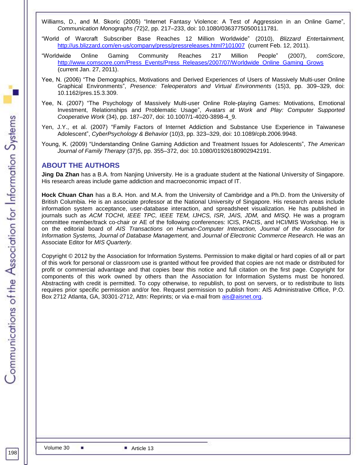- Williams, D., and M. Skoric (2005) "Internet Fantasy Violence: A Test of Aggression in an Online Game", *Communication Monographs (*72)2, pp. 217–233, doi: 10.1080/03637750500111781.
- "World of Warcraft Subscriber Base Reaches 12 Million Worldwide" (2010), *Blizzard Entertainment,* <http://us.blizzard.com/en-us/company/press/pressreleases.html?101007> (current Feb. 12, 2011).
- "Worldwide Online Gaming Community Reaches 217 Million People" (2007), *comScore*, [http://www.comscore.com/Press\\_Events/Press\\_Releases/2007/07/Worldwide\\_Online\\_Gaming\\_Grows](http://www.comscore.com/Press_Events/Press_Releases/2007/07/Worldwide_Online_Gaming_Grows) (current Jan. 27, 2011).
- Yee, N. (2006) "The Demographics, Motivations and Derived Experiences of Users of Massively Multi-user Online Graphical Environments", *Presence: Teleoperators and Virtual Environments* (15)3, pp. 309–329, doi: 10.1162/pres.15.3.309.
- Yee, N. (2007) "The Psychology of Massively Multi-user Online Role-playing Games: Motivations, Emotional Investment, Relationships and Problematic Usage", *Avatars at Work and Play: Computer Supported Cooperative Work* (34), pp. 187–207, doi: 10.1007/1-4020-3898-4\_9.
- Yen, J.Y., et al. (2007) "Family Factors of Internet Addiction and Substance Use Experience in Taiwanese Adolescent", *CyberPsychology & Behavior* (10)3, pp. 323–329, doi: 10.1089/cpb.2006.9948.
- Young, K. (2009) "Understanding Online Gaming Addiction and Treatment Issues for Adolescents", *The American Journal of Family Therapy* (37)5, pp. 355–372, doi: 10.1080/01926180902942191.

#### **ABOUT THE AUTHORS**

**Jing Da Zhan** has a B.A. from Nanjing University. He is a graduate student at the National University of Singapore. His research areas include game addiction and macroeconomic impact of IT.

**Hock Chuan Chan** has a B.A. Hon. and M.A. from the University of Cambridge and a Ph.D. from the University of British Columbia. He is an associate professor at the National University of Singapore. His research areas include information system acceptance, user-database interaction, and spreadsheet visualization. He has published in journals such as *ACM TOCHI, IEEE TPC, IEEE TEM, IJHCS, ISR, JAIS, JDM,* and *MISQ.* He was a program committee member/track co-chair or AE of the following conferences: ICIS, PACIS, and HCI/MIS Workshop. He is on the editorial board of *AIS Transactions on Human-Computer Interaction, Journal of the Association for Information Systems, Journal of Database Management,* and *Journal of Electronic Commerce Research.* He was an Associate Editor for *MIS Quarterly.*

Copyright © 2012 by the Association for Information Systems. Permission to make digital or hard copies of all or part of this work for personal or classroom use is granted without fee provided that copies are not made or distributed for profit or commercial advantage and that copies bear this notice and full citation on the first page. Copyright for components of this work owned by others than the Association for Information Systems must be honored. Abstracting with credit is permitted. To copy otherwise, to republish, to post on servers, or to redistribute to lists requires prior specific permission and/or fee. Request permission to publish from: AIS Administrative Office, P.O. Box 2712 Atlanta, GA, 30301-2712, Attn: Reprints; or via e-mail from [ais@aisnet.org.](mailto:ais@aisnet.org)